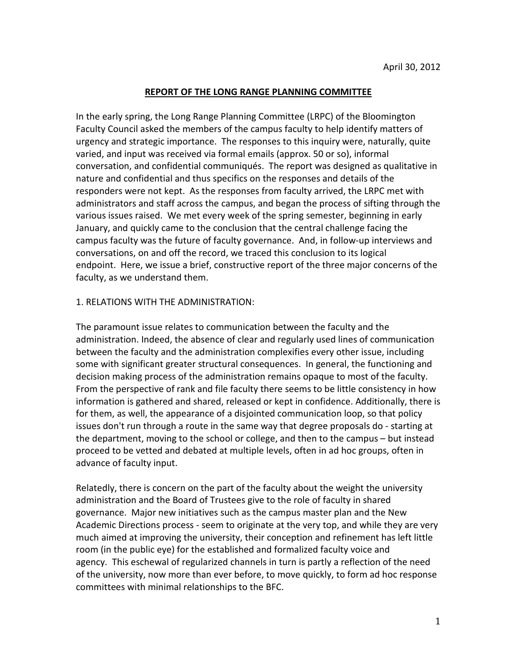#### **REPORT OF THE LONG RANGE PLANNING COMMITTEE**

In the early spring, the Long Range Planning Committee (LRPC) of the Bloomington Faculty Council asked the members of the campus faculty to help identify matters of urgency and strategic importance. The responses to this inquiry were, naturally, quite varied, and input was received via formal emails (approx. 50 or so), informal conversation, and confidential communiqués. The report was designed as qualitative in nature and confidential and thus specifics on the responses and details of the responders were not kept. As the responses from faculty arrived, the LRPC met with administrators and staff across the campus, and began the process of sifting through the various issues raised. We met every week of the spring semester, beginning in early January, and quickly came to the conclusion that the central challenge facing the campus faculty was the future of faculty governance. And, in follow-up interviews and conversations, on and off the record, we traced this conclusion to its logical endpoint. Here, we issue a brief, constructive report of the three major concerns of the faculty, as we understand them.

### 1. RELATIONS WITH THE ADMINISTRATION:

The paramount issue relates to communication between the faculty and the administration. Indeed, the absence of clear and regularly used lines of communication between the faculty and the administration complexifies every other issue, including some with significant greater structural consequences. In general, the functioning and decision making process of the administration remains opaque to most of the faculty. From the perspective of rank and file faculty there seems to be little consistency in how information is gathered and shared, released or kept in confidence. Additionally, there is for them, as well, the appearance of a disjointed communication loop, so that policy issues don't run through a route in the same way that degree proposals do - starting at the department, moving to the school or college, and then to the campus – but instead proceed to be vetted and debated at multiple levels, often in ad hoc groups, often in advance of faculty input.

Relatedly, there is concern on the part of the faculty about the weight the university administration and the Board of Trustees give to the role of faculty in shared governance. Major new initiatives such as the campus master plan and the New Academic Directions process - seem to originate at the very top, and while they are very much aimed at improving the university, their conception and refinement has left little room (in the public eye) for the established and formalized faculty voice and agency. This eschewal of regularized channels in turn is partly a reflection of the need of the university, now more than ever before, to move quickly, to form ad hoc response committees with minimal relationships to the BFC.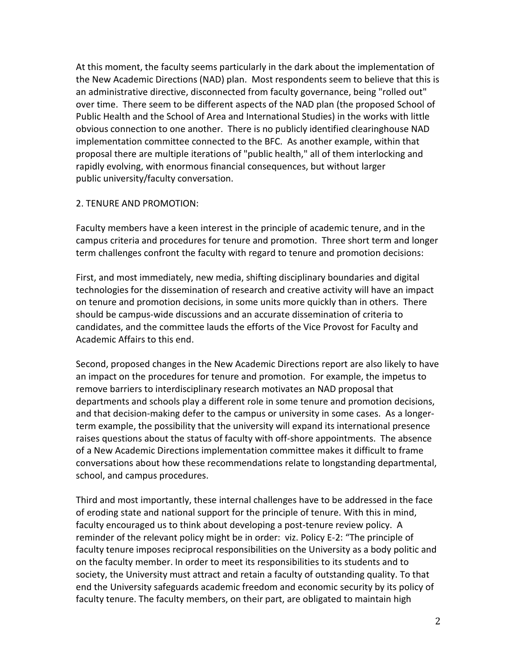At this moment, the faculty seems particularly in the dark about the implementation of the New Academic Directions (NAD) plan. Most respondents seem to believe that this is an administrative directive, disconnected from faculty governance, being "rolled out" over time. There seem to be different aspects of the NAD plan (the proposed School of Public Health and the School of Area and International Studies) in the works with little obvious connection to one another. There is no publicly identified clearinghouse NAD implementation committee connected to the BFC. As another example, within that proposal there are multiple iterations of "public health," all of them interlocking and rapidly evolving, with enormous financial consequences, but without larger public university/faculty conversation.

### 2. TENURE AND PROMOTION:

Faculty members have a keen interest in the principle of academic tenure, and in the campus criteria and procedures for tenure and promotion. Three short term and longer term challenges confront the faculty with regard to tenure and promotion decisions:

First, and most immediately, new media, shifting disciplinary boundaries and digital technologies for the dissemination of research and creative activity will have an impact on tenure and promotion decisions, in some units more quickly than in others. There should be campus-wide discussions and an accurate dissemination of criteria to candidates, and the committee lauds the efforts of the Vice Provost for Faculty and Academic Affairs to this end.

Second, proposed changes in the New Academic Directions report are also likely to have an impact on the procedures for tenure and promotion. For example, the impetus to remove barriers to interdisciplinary research motivates an NAD proposal that departments and schools play a different role in some tenure and promotion decisions, and that decision-making defer to the campus or university in some cases. As a longerterm example, the possibility that the university will expand its international presence raises questions about the status of faculty with off-shore appointments. The absence of a New Academic Directions implementation committee makes it difficult to frame conversations about how these recommendations relate to longstanding departmental, school, and campus procedures.

Third and most importantly, these internal challenges have to be addressed in the face of eroding state and national support for the principle of tenure. With this in mind, faculty encouraged us to think about developing a post-tenure review policy. A reminder of the relevant policy might be in order: viz. Policy E-2: "The principle of faculty tenure imposes reciprocal responsibilities on the University as a body politic and on the faculty member. In order to meet its responsibilities to its students and to society, the University must attract and retain a faculty of outstanding quality. To that end the University safeguards academic freedom and economic security by its policy of faculty tenure. The faculty members, on their part, are obligated to maintain high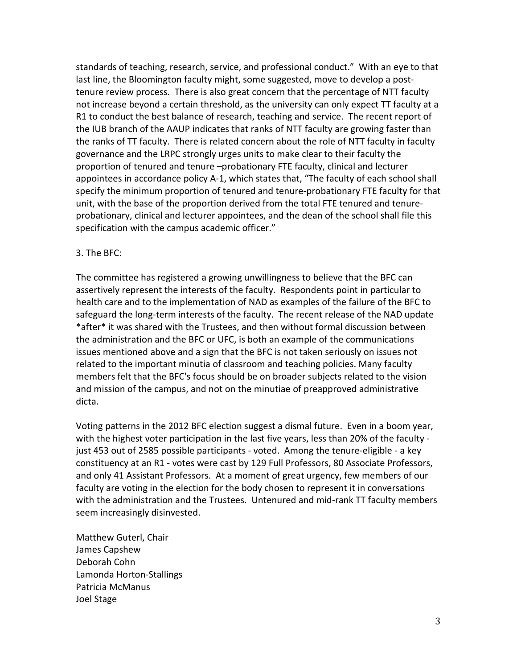standards of teaching, research, service, and professional conduct." With an eye to that last line, the Bloomington faculty might, some suggested, move to develop a posttenure review process. There is also great concern that the percentage of NTT faculty not increase beyond a certain threshold, as the university can only expect TT faculty at a R1 to conduct the best balance of research, teaching and service. The recent report of the IUB branch of the AAUP indicates that ranks of NTT faculty are growing faster than the ranks of TT faculty. There is related concern about the role of NTT faculty in faculty governance and the LRPC strongly urges units to make clear to their faculty the proportion of tenured and tenure –probationary FTE faculty, clinical and lecturer appointees in accordance policy A-1, which states that, "The faculty of each school shall specify the minimum proportion of tenured and tenure-probationary FTE faculty for that unit, with the base of the proportion derived from the total FTE tenured and tenureprobationary, clinical and lecturer appointees, and the dean of the school shall file this specification with the campus academic officer."

### 3. The BFC:

The committee has registered a growing unwillingness to believe that the BFC can assertively represent the interests of the faculty. Respondents point in particular to health care and to the implementation of NAD as examples of the failure of the BFC to safeguard the long-term interests of the faculty. The recent release of the NAD update \*after\* it was shared with the Trustees, and then without formal discussion between the administration and the BFC or UFC, is both an example of the communications issues mentioned above and a sign that the BFC is not taken seriously on issues not related to the important minutia of classroom and teaching policies. Many faculty members felt that the BFC's focus should be on broader subjects related to the vision and mission of the campus, and not on the minutiae of preapproved administrative dicta.

Voting patterns in the 2012 BFC election suggest a dismal future. Even in a boom year, with the highest voter participation in the last five years, less than 20% of the faculty just 453 out of 2585 possible participants - voted. Among the tenure-eligible - a key constituency at an R1 - votes were cast by 129 Full Professors, 80 Associate Professors, and only 41 Assistant Professors. At a moment of great urgency, few members of our faculty are voting in the election for the body chosen to represent it in conversations with the administration and the Trustees. Untenured and mid-rank TT faculty members seem increasingly disinvested.

Matthew Guterl, Chair James Capshew Deborah Cohn Lamonda Horton-Stallings Patricia McManus Joel Stage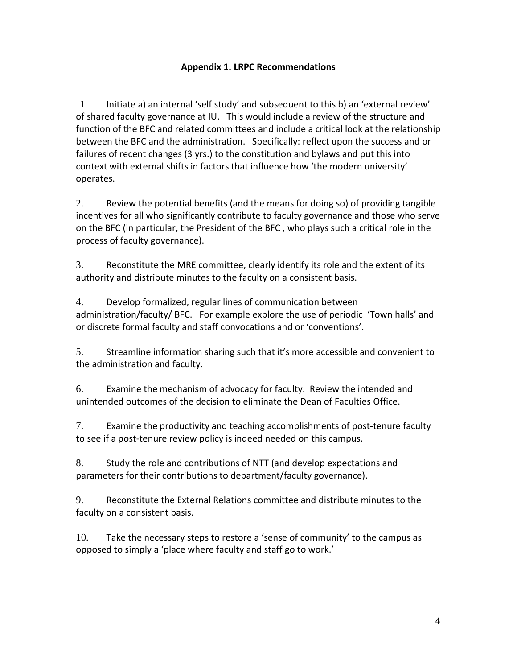# **Appendix 1. LRPC Recommendations**

1. Initiate a) an internal 'self study' and subsequent to this b) an 'external review' of shared faculty governance at IU. This would include a review of the structure and function of the BFC and related committees and include a critical look at the relationship between the BFC and the administration. Specifically: reflect upon the success and or failures of recent changes (3 yrs.) to the constitution and bylaws and put this into context with external shifts in factors that influence how 'the modern university' operates.

2. Review the potential benefits (and the means for doing so) of providing tangible incentives for all who significantly contribute to faculty governance and those who serve on the BFC (in particular, the President of the BFC , who plays such a critical role in the process of faculty governance).

3. Reconstitute the MRE committee, clearly identify its role and the extent of its authority and distribute minutes to the faculty on a consistent basis.

4. Develop formalized, regular lines of communication between administration/faculty/ BFC. For example explore the use of periodic 'Town halls' and or discrete formal faculty and staff convocations and or 'conventions'.

5. Streamline information sharing such that it's more accessible and convenient to the administration and faculty.

6. Examine the mechanism of advocacy for faculty. Review the intended and unintended outcomes of the decision to eliminate the Dean of Faculties Office.

7. Examine the productivity and teaching accomplishments of post-tenure faculty to see if a post-tenure review policy is indeed needed on this campus.

8. Study the role and contributions of NTT (and develop expectations and parameters for their contributions to department/faculty governance).

9. Reconstitute the External Relations committee and distribute minutes to the faculty on a consistent basis.

10. Take the necessary steps to restore a 'sense of community' to the campus as opposed to simply a 'place where faculty and staff go to work.'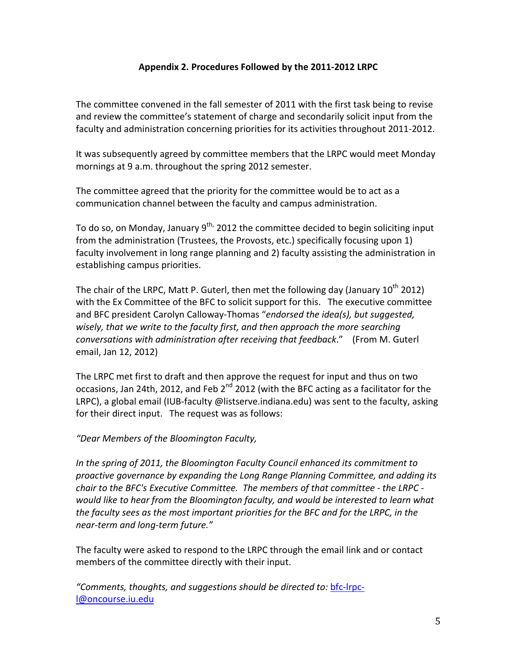## **Appendix 2. Procedures Followed by the 2011-2012 LRPC**

The committee convened in the fall semester of 2011 with the first task being to revise and review the committee's statement of charge and secondarily solicit input from the faculty and administration concerning priorities for its activities throughout 2011-2012.

It was subsequently agreed by committee members that the LRPC would meet Monday mornings at 9 a.m. throughout the spring 2012 semester.

The committee agreed that the priority for the committee would be to act as a communication channel between the faculty and campus administration.

To do so, on Monday, January 9<sup>th,</sup> 2012 the committee decided to begin soliciting input from the administration (Trustees, the Provosts, etc.) specifically focusing upon 1) faculty involvement in long range planning and 2) faculty assisting the administration in establishing campus priorities.

The chair of the LRPC, Matt P. Guterl, then met the following day (January  $10^{th}$  2012) with the Ex Committee of the BFC to solicit support for this. The executive committee and BFC president Carolyn Calloway-Thomas "*endorsed the idea(s), but suggested, wisely, that we write to the faculty first, and then approach the more searching conversations with administration after receiving that feedback*." (From M. Guterl email, Jan 12, 2012)

The LRPC met first to draft and then approve the request for input and thus on two occasions, Jan 24th, 2012, and Feb  $2^{nd}$  2012 (with the BFC acting as a facilitator for the LRPC), a global email (IUB-faculty @listserve.indiana.edu) was sent to the faculty, asking for their direct input. The request was as follows:

*"Dear Members of the Bloomington Faculty,*

*In the spring of 2011, the Bloomington Faculty Council enhanced its commitment to proactive governance by expanding the Long Range Planning Committee, and adding its chair to the BFC's Executive Committee. The members of that committee - the LRPC would like to hear from the Bloomington faculty, and would be interested to learn what the faculty sees as the most important priorities for the BFC and for the LRPC, in the near-term and long-term future."*

The faculty were asked to respond to the LRPC through the email link and or contact members of the committee directly with their input.

*"Comments, thoughts, and suggestions should be directed to:* [bfc-lrpc](https://www.exchange.iu.edu/owa/redir.aspx?C=lP0vCrmbmkK1C58z25UDHs-Lbq7wv88I4KhlvZJGNr28H_V_ECIHQj_LXRMonBa2ptbw_fcVWjY.&URL=mailto%3abfc-lrpc-l%40oncourse.iu.edu)[l@oncourse.iu.edu](https://www.exchange.iu.edu/owa/redir.aspx?C=lP0vCrmbmkK1C58z25UDHs-Lbq7wv88I4KhlvZJGNr28H_V_ECIHQj_LXRMonBa2ptbw_fcVWjY.&URL=mailto%3abfc-lrpc-l%40oncourse.iu.edu)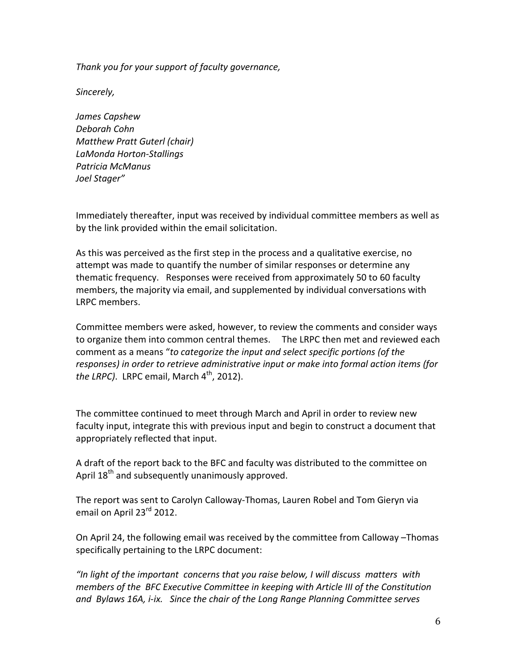*Thank you for your support of faculty governance,*

*Sincerely,*

*James Capshew Deborah Cohn Matthew Pratt Guterl (chair) LaMonda Horton-Stallings Patricia McManus Joel Stager"*

Immediately thereafter, input was received by individual committee members as well as by the link provided within the email solicitation.

As this was perceived as the first step in the process and a qualitative exercise, no attempt was made to quantify the number of similar responses or determine any thematic frequency. Responses were received from approximately 50 to 60 faculty members, the majority via email, and supplemented by individual conversations with LRPC members.

Committee members were asked, however, to review the comments and consider ways to organize them into common central themes. The LRPC then met and reviewed each comment as a means "*to categorize the input and select specific portions (of the responses) in order to retrieve administrative input or make into formal action items (for the LRPC).* LRPC email, March  $4<sup>th</sup>$ , 2012).

The committee continued to meet through March and April in order to review new faculty input, integrate this with previous input and begin to construct a document that appropriately reflected that input.

A draft of the report back to the BFC and faculty was distributed to the committee on April 18<sup>th</sup> and subsequently unanimously approved.

The report was sent to Carolyn Calloway-Thomas, Lauren Robel and Tom Gieryn via email on April 23rd 2012.

On April 24, the following email was received by the committee from Calloway –Thomas specifically pertaining to the LRPC document:

*"In light of the important concerns that you raise below, I will discuss matters with members of the BFC Executive Committee in keeping with Article III of the Constitution and Bylaws 16A, i-ix. Since the chair of the Long Range Planning Committee serves*